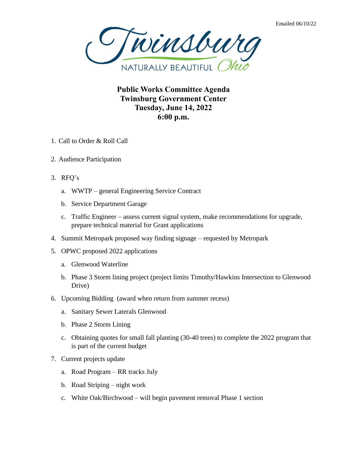

**Public Works Committee Agenda Twinsburg Government Center Tuesday, June 14, 2022 6:00 p.m.**

- 1. Call to Order & Roll Call
- 2. Audience Participation
- 3. RFQ's
	- a. WWTP general Engineering Service Contract
	- b. Service Department Garage
	- c. Traffic Engineer assess current signal system, make recommendations for upgrade, prepare technical material for Grant applications
- 4. Summit Metropark proposed way finding signage requested by Metropark
- 5. OPWC proposed 2022 applications
	- a. Glenwood Waterline
	- b. Phase 3 Storm lining project (project limits Timothy/Hawkins Intersection to Glenwood Drive)
- 6. Upcoming Bidding (award when return from summer recess)
	- a. Sanitary Sewer Laterals Glenwood
	- b. Phase 2 Storm Lining
	- c. Obtaining quotes for small fall planting (30-40 trees) to complete the 2022 program that is part of the current budget
- 7. Current projects update
	- a. Road Program RR tracks July
	- b. Road Striping night work
	- c. White Oak/Birchwood will begin pavement removal Phase 1 section